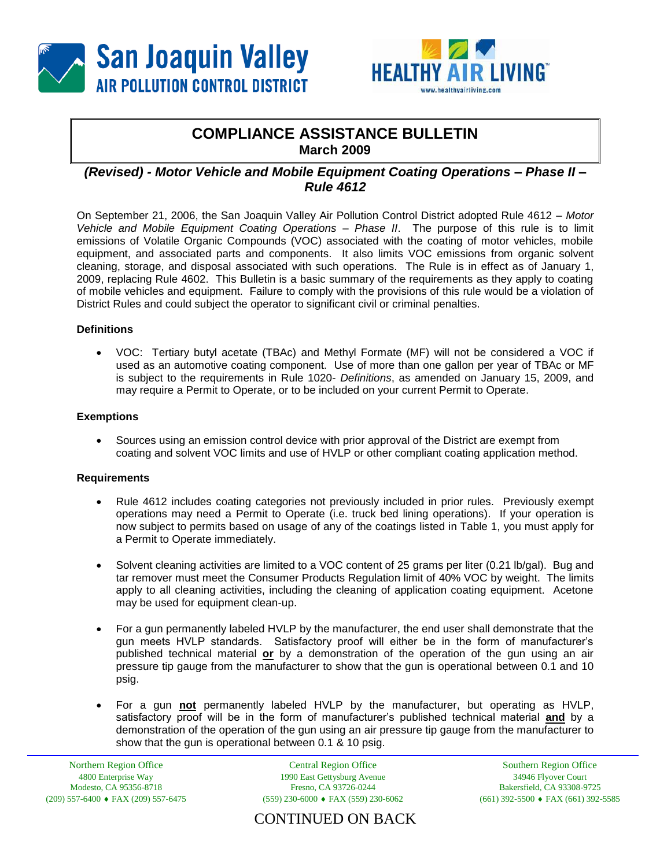



# **COMPLIANCE ASSISTANCE BULLETIN March 2009**

## *(Revised) - Motor Vehicle and Mobile Equipment Coating Operations – Phase II – Rule 4612*

On September 21, 2006, the San Joaquin Valley Air Pollution Control District adopted Rule 4612 – *Motor Vehicle and Mobile Equipment Coating Operations – Phase II*. The purpose of this rule is to limit emissions of Volatile Organic Compounds (VOC) associated with the coating of motor vehicles, mobile equipment, and associated parts and components. It also limits VOC emissions from organic solvent cleaning, storage, and disposal associated with such operations. The Rule is in effect as of January 1, 2009, replacing Rule 4602. This Bulletin is a basic summary of the requirements as they apply to coating of mobile vehicles and equipment. Failure to comply with the provisions of this rule would be a violation of District Rules and could subject the operator to significant civil or criminal penalties.

### **Definitions**

 VOC:Tertiary butyl acetate (TBAc) and Methyl Formate (MF) will not be considered a VOC if used as an automotive coating component. Use of more than one gallon per year of TBAc or MF is subject to the requirements in Rule 1020- *Definitions*, as amended on January 15, 2009, and may require a Permit to Operate, or to be included on your current Permit to Operate.

### **Exemptions**

 Sources using an emission control device with prior approval of the District are exempt from coating and solvent VOC limits and use of HVLP or other compliant coating application method.

### **Requirements**

- Rule 4612 includes coating categories not previously included in prior rules. Previously exempt operations may need a Permit to Operate (i.e. truck bed lining operations). If your operation is now subject to permits based on usage of any of the coatings listed in Table 1, you must apply for a Permit to Operate immediately.
- Solvent cleaning activities are limited to a VOC content of 25 grams per liter (0.21 lb/gal). Bug and tar remover must meet the Consumer Products Regulation limit of 40% VOC by weight. The limits apply to all cleaning activities, including the cleaning of application coating equipment. Acetone may be used for equipment clean-up.
- For a gun permanently labeled HVLP by the manufacturer, the end user shall demonstrate that the gun meets HVLP standards. Satisfactory proof will either be in the form of manufacturer's published technical material **or** by a demonstration of the operation of the gun using an air pressure tip gauge from the manufacturer to show that the gun is operational between 0.1 and 10 psig.
- For a gun **not** permanently labeled HVLP by the manufacturer, but operating as HVLP, satisfactory proof will be in the form of manufacturer's published technical material **and** by a demonstration of the operation of the gun using an air pressure tip gauge from the manufacturer to show that the gun is operational between 0.1 & 10 psig.

Northern Region Office 4800 Enterprise Way Modesto, CA 95356-8718  $(209)$  557-6400  $\bullet$  FAX (209) 557-6475

Central Region Office 1990 East Gettysburg Avenue Fresno, CA 93726-0244  $(559)$  230-6000  $\bullet$  FAX (559) 230-6062

Southern Region Office 34946 Flyover Court Bakersfield, CA 93308-9725  $(661)$  392-5500  $\bullet$  FAX (661) 392-5585

CONTINUED ON BACK